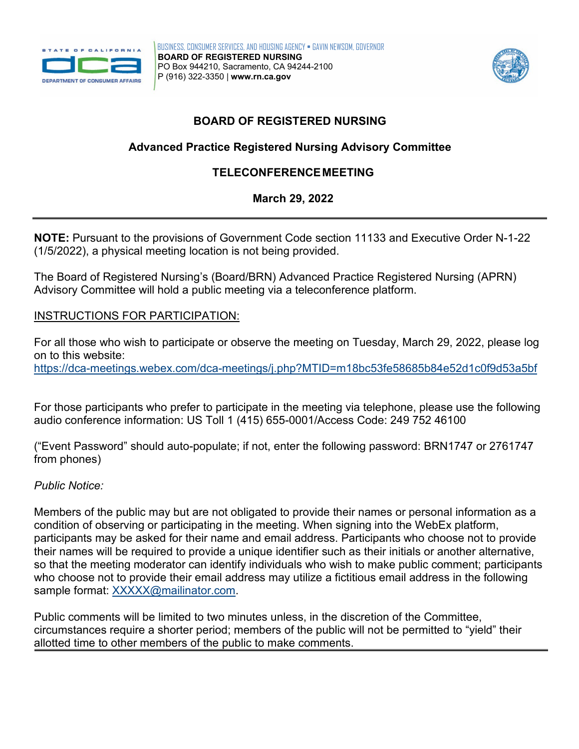



# **BOARD OF REGISTERED NURSING**

## **Advanced Practice Registered Nursing Advisory Committee**

## **TELECONFERENCEMEETING**

### **March 29, 2022**

 **NOTE:** Pursuant to the provisions of Government Code section 11133 and Executive Order N-1-22 (1/5/2022), a physical meeting location is not being provided.

The Board of Registered Nursing's (Board/BRN) Advanced Practice Registered Nursing (APRN) Advisory Committee will hold a public meeting via a teleconference platform.

### INSTRUCTIONS FOR PARTICIPATION:

 on to this website: For all those who wish to participate or observe the meeting on Tuesday, March 29, 2022, please log <https://dca-meetings.webex.com/dca-meetings/j.php?MTID=m18bc53fe58685b84e52d1c0f9d53a5bf>

 audio conference information: US Toll 1 (415) 655-0001/Access Code: 249 752 46100 For those participants who prefer to participate in the meeting via telephone, please use the following

("Event Password" should auto-populate; if not, enter the following password: BRN1747 or 2761747 from phones)

#### *Public Notice:*

 Members of the public may but are not obligated to provide their names or personal information as a condition of observing or participating in the meeting. When signing into the WebEx platform, participants may be asked for their name and email address. Participants who choose not to provide their names will be required to provide a unique identifier such as their initials or another alternative, so that the meeting moderator can identify individuals who wish to make public comment; participants who choose not to provide their email address may utilize a fictitious email address in the following sample format: [XXXXX@mailinator.com.](mailto:XXXXX@mailinator.com)

Public comments will be limited to two minutes unless, in the discretion of the Committee, circumstances require a shorter period; members of the public will not be permitted to "yield" their allotted time to other members of the public to make comments.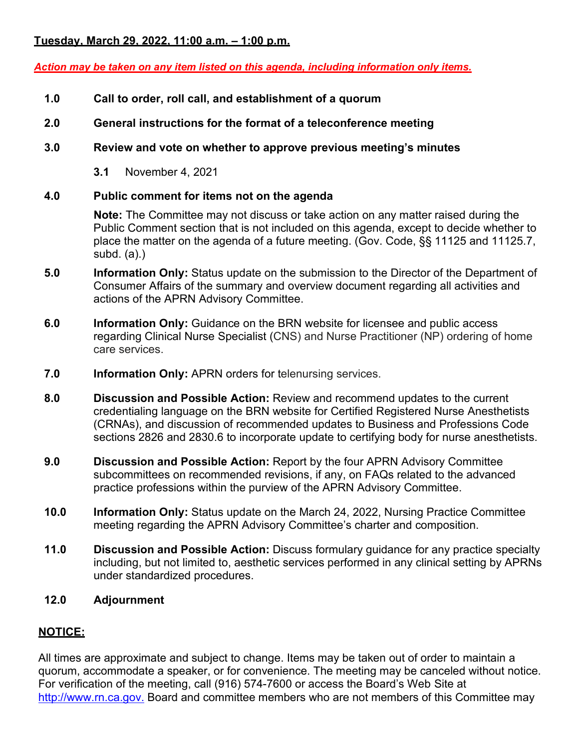### **Tuesday, March 29, 2022, 11:00 a.m. – 1:00 p.m.**

#### *Action may be taken on any item listed on this agenda, including information only items.*

- **1.0 Call to order, roll call, and establishment of a quorum**
- **2.0 General instructions for the format of a teleconference meeting**

#### **3.0 Review and vote on whether to approve previous meeting's minutes**

**3.1** November 4, 2021

#### **4.0 Public comment for items not on the agenda**

 **Note:** The Committee may not discuss or take action on any matter raised during the Public Comment section that is not included on this agenda, except to decide whether to place the matter on the agenda of a future meeting. (Gov. Code, §§ 11125 and 11125.7, subd. (a).)

- **5.0 Information Only:** Status update on the submission to the Director of the Department of Consumer Affairs of the summary and overview document regarding all activities and actions of the APRN Advisory Committee.
- **6.0 Information Only:** Guidance on the BRN website for licensee and public access regarding Clinical Nurse Specialist (CNS) and Nurse Practitioner (NP) ordering of home care services.
- **7.0 Information Only:** APRN orders for telenursing services.
- **8.0 Discussion and Possible Action:** Review and recommend updates to the current credentialing language on the BRN website for Certified Registered Nurse Anesthetists (CRNAs), and discussion of recommended updates to Business and Professions Code sections 2826 and 2830.6 to incorporate update to certifying body for nurse anesthetists.
- **9.0 Discussion and Possible Action:** Report by the four APRN Advisory Committee subcommittees on recommended revisions, if any, on FAQs related to the advanced practice professions within the purview of the APRN Advisory Committee.
- **10.0 Information Only:** Status update on the March 24, 2022, Nursing Practice Committee meeting regarding the APRN Advisory Committee's charter and composition.
- **11.0 Discussion and Possible Action:** Discuss formulary guidance for any practice specialty including, but not limited to, aesthetic services performed in any clinical setting by APRNs under standardized procedures.

#### **12.0 Adjournment**

### **NOTICE:**

 For verification of the meeting, call (916) 574-7600 or access the Board's Web Site at All times are approximate and subject to change. Items may be taken out of order to maintain a quorum, accommodate a speaker, or for convenience. The meeting may be canceled without notice. <http://www.rn.ca.gov>. Board and committee members who are not members of this Committee may